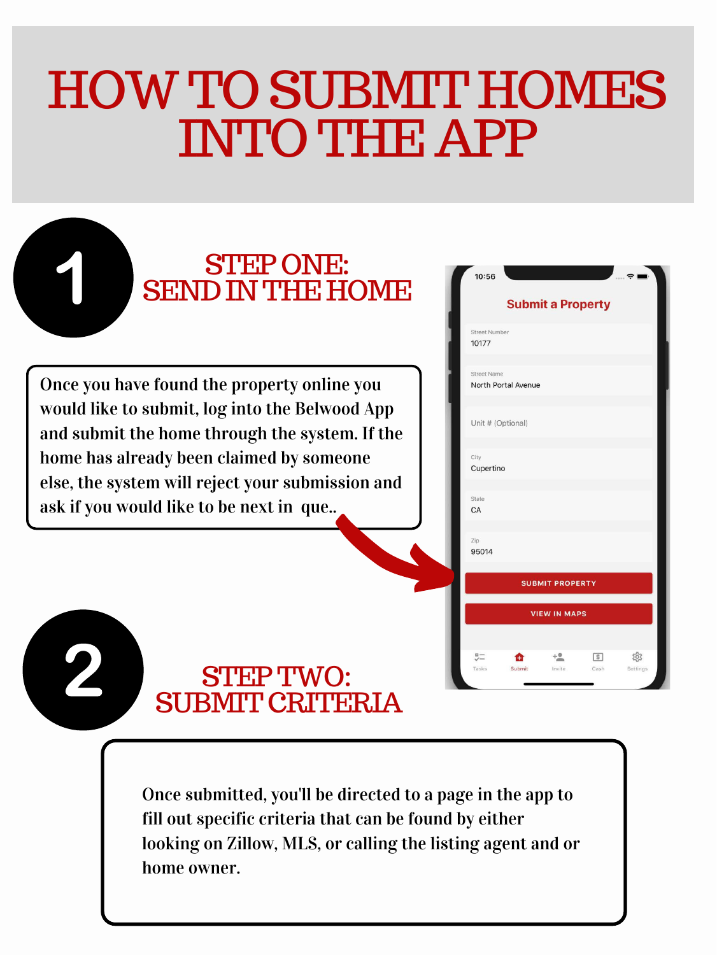### HOWTOSUBMIT HOMES INTOTHE APP

Once you have found the property online you would like to submit, log into the Belwood App home has already been claimed by someone else, the system will reject your submission and

> Once submitted, you'll be directed to a page in the app to fill out specific criteria that can be found by either looking on Zillow, MLS, or calling the listing agent and or home owner.



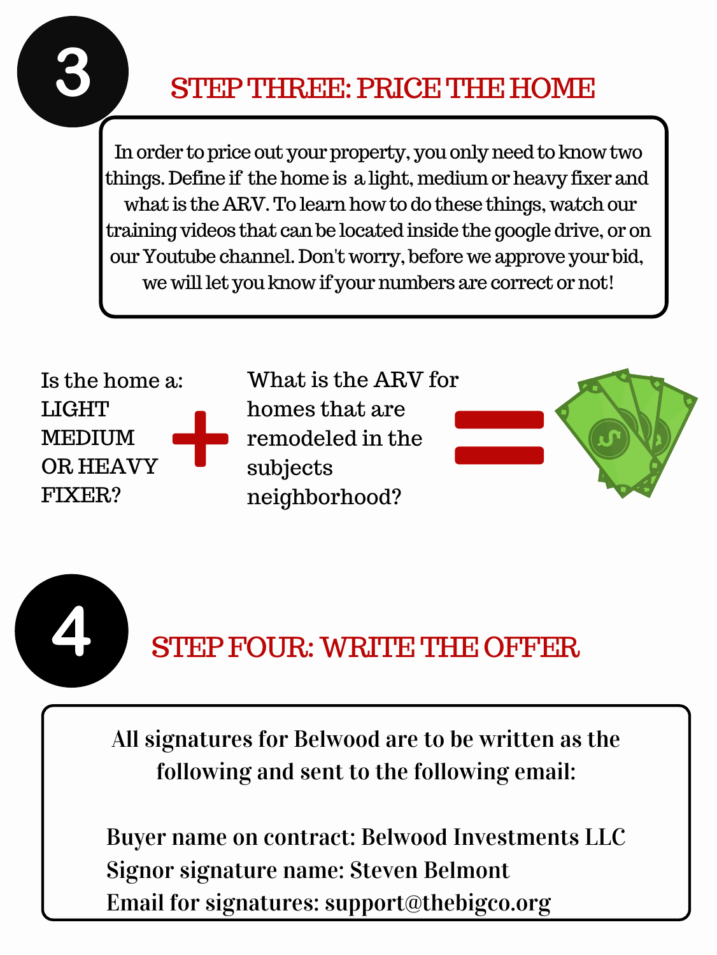

### STEP THREE: PRICE THE HOME

In order to price out your property, you only need to know two things. Define if the home is a light, medium or heavy fixer and what is the ARV. To learn how to do these things, watch our training videos that canbe located inside the google drive, or on our Youtube channel. Don't worry, before we approve your bid, we will let you know if your numbers are correct or not!

All signatures for Belwood are to be written as the following and sent to the following email:

Buyer name on contract: Belwood Investments LLC Signor signature name: Steven Belmont Email for signatures: support@thebigco.org



Is the home a: LIGHT MEDIUM OR HEAVY FIXER?

What is the ARV for homes that are remodeled in the subjects



neighborhood?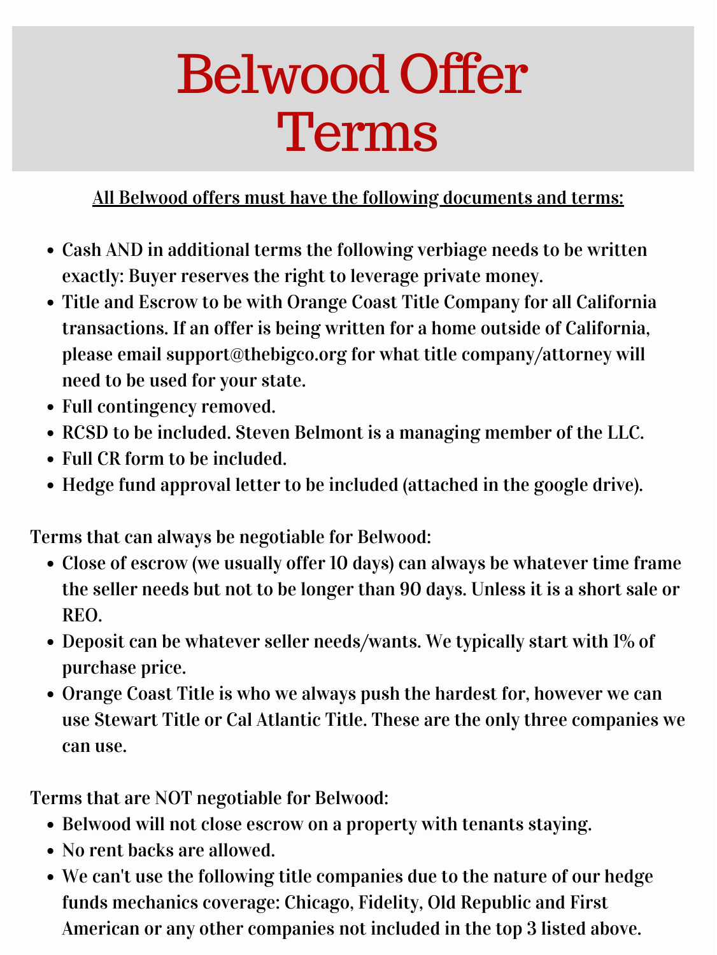## Belwood Offer Terms

- Cash AND in additional terms the following verbiage needs to be written exactly: Buyer reserves the right to leverage private money.
- Title and Escrow to be with Orange Coast Title Company for all California transactions. If an offer is being written for a home outside of California, please email support@thebigco.org for what title company/attorney will need to be used for your state.
- Full contingency removed.
- RCSD to be included. Steven Belmont is a managing member of the LLC.
- Full CR form to be included.
- Hedge fund approval letter to be included (attached in the google drive).

All Belwood offers must have the following documents and terms:

- Belwood will not close escrow on a property with tenants staying.
- No rent backs are allowed.
- We can't use the following title companies due to the nature of our hedge funds mechanics coverage: Chicago, Fidelity, Old Republic and First American or any other companies not included in the top 3 listed above.
- Close of escrow (we usually offer 10 days) can always be whatever time frame the seller needs but not to be longer than 90 days. Unless it is a short sale or REO.
- Deposit can be whatever seller needs/wants. We typically start with 1% of purchase price.
- Orange Coast Title is who we always push the hardest for, however we can use Stewart Title or Cal Atlantic Title. These are the only three companies we can use.

Terms that can always be negotiable for Belwood:

Terms that are NOT negotiable for Belwood: